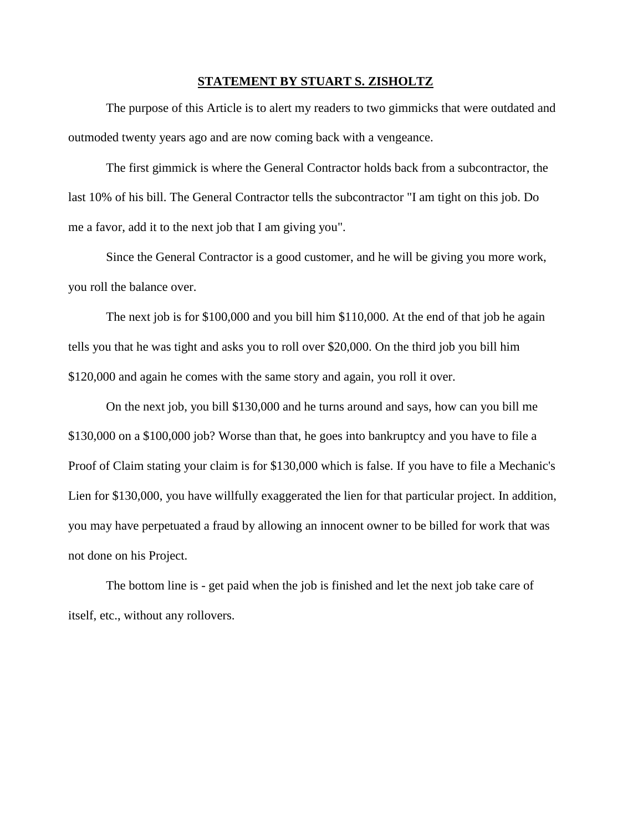## **STATEMENT BY STUART S. ZISHOLTZ**

The purpose of this Article is to alert my readers to two gimmicks that were outdated and outmoded twenty years ago and are now coming back with a vengeance.

The first gimmick is where the General Contractor holds back from a subcontractor, the last 10% of his bill. The General Contractor tells the subcontractor "I am tight on this job. Do me a favor, add it to the next job that I am giving you".

Since the General Contractor is a good customer, and he will be giving you more work, you roll the balance over.

The next job is for \$100,000 and you bill him \$110,000. At the end of that job he again tells you that he was tight and asks you to roll over \$20,000. On the third job you bill him \$120,000 and again he comes with the same story and again, you roll it over.

On the next job, you bill \$130,000 and he turns around and says, how can you bill me \$130,000 on a \$100,000 job? Worse than that, he goes into bankruptcy and you have to file a Proof of Claim stating your claim is for \$130,000 which is false. If you have to file a Mechanic's Lien for \$130,000, you have willfully exaggerated the lien for that particular project. In addition, you may have perpetuated a fraud by allowing an innocent owner to be billed for work that was not done on his Project.

The bottom line is - get paid when the job is finished and let the next job take care of itself, etc., without any rollovers.